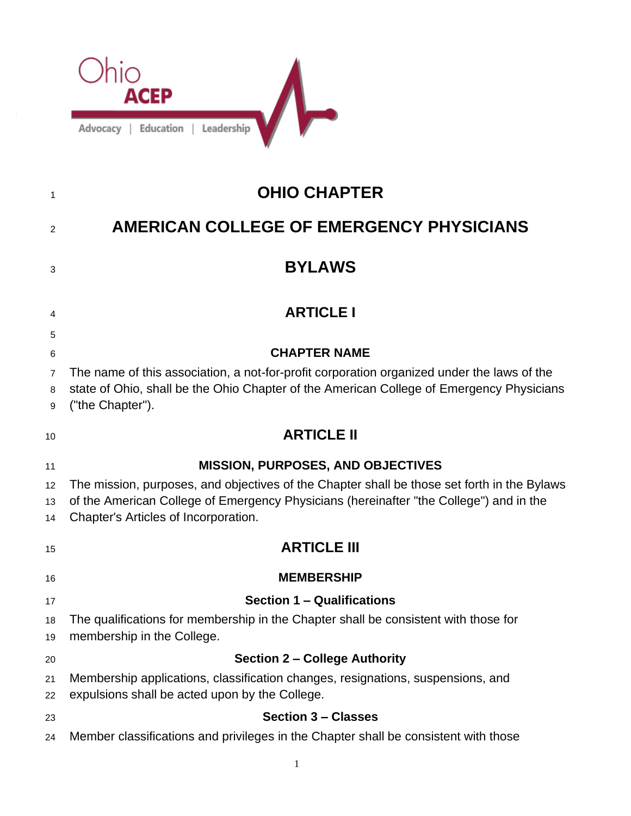

 $\overline{1}$ 

| 1                                  | <b>OHIO CHAPTER</b>                                                                                                                                                                                                                                                       |
|------------------------------------|---------------------------------------------------------------------------------------------------------------------------------------------------------------------------------------------------------------------------------------------------------------------------|
| 2                                  | <b>AMERICAN COLLEGE OF EMERGENCY PHYSICIANS</b>                                                                                                                                                                                                                           |
| 3                                  | <b>BYLAWS</b>                                                                                                                                                                                                                                                             |
| 4                                  | <b>ARTICLE I</b>                                                                                                                                                                                                                                                          |
| 5<br>6<br>$\overline{7}$<br>8<br>9 | <b>CHAPTER NAME</b><br>The name of this association, a not-for-profit corporation organized under the laws of the<br>state of Ohio, shall be the Ohio Chapter of the American College of Emergency Physicians<br>("the Chapter").                                         |
| 10                                 | <b>ARTICLE II</b>                                                                                                                                                                                                                                                         |
| 11<br>12<br>13<br>14               | <b>MISSION, PURPOSES, AND OBJECTIVES</b><br>The mission, purposes, and objectives of the Chapter shall be those set forth in the Bylaws<br>of the American College of Emergency Physicians (hereinafter "the College") and in the<br>Chapter's Articles of Incorporation. |
| 15                                 | <b>ARTICLE III</b>                                                                                                                                                                                                                                                        |
| 16                                 | <b>MEMBERSHIP</b>                                                                                                                                                                                                                                                         |
| 17<br>18<br>19                     | <b>Section 1 - Qualifications</b><br>The qualifications for membership in the Chapter shall be consistent with those for<br>membership in the College.                                                                                                                    |
| 20<br>21<br>22                     | <b>Section 2 - College Authority</b><br>Membership applications, classification changes, resignations, suspensions, and<br>expulsions shall be acted upon by the College.                                                                                                 |
| 23<br>24                           | <b>Section 3 - Classes</b><br>Member classifications and privileges in the Chapter shall be consistent with those                                                                                                                                                         |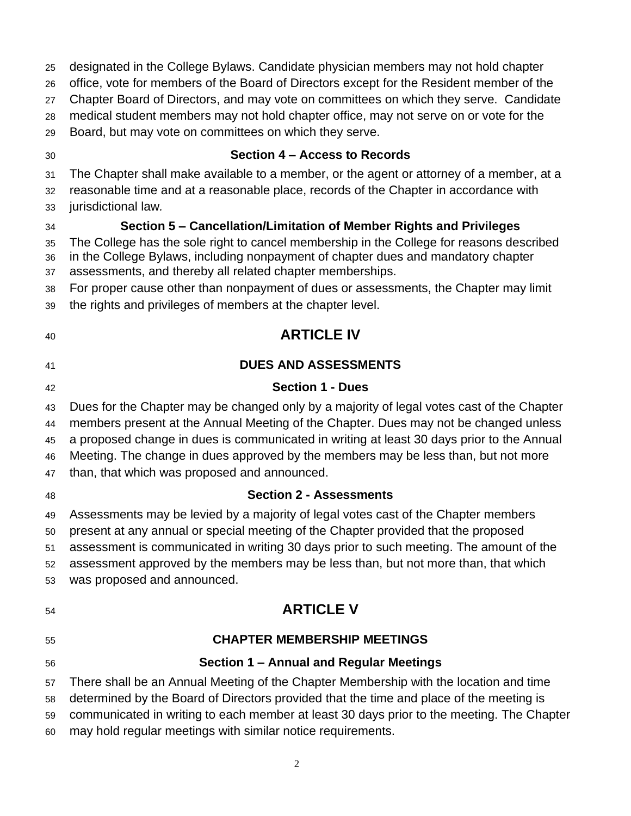| 25<br>26 | designated in the College Bylaws. Candidate physician members may not hold chapter<br>office, vote for members of the Board of Directors except for the Resident member of the |
|----------|--------------------------------------------------------------------------------------------------------------------------------------------------------------------------------|
| 27       | Chapter Board of Directors, and may vote on committees on which they serve. Candidate                                                                                          |
| 28       | medical student members may not hold chapter office, may not serve on or vote for the                                                                                          |
| 29       | Board, but may vote on committees on which they serve.                                                                                                                         |
| 30       | Section 4 – Access to Records                                                                                                                                                  |
| 31       | The Chapter shall make available to a member, or the agent or attorney of a member, at a                                                                                       |
| 32       | reasonable time and at a reasonable place, records of the Chapter in accordance with                                                                                           |
| 33       | jurisdictional law.                                                                                                                                                            |
| 34       | Section 5 – Cancellation/Limitation of Member Rights and Privileges                                                                                                            |
| 35       | The College has the sole right to cancel membership in the College for reasons described<br>in the College Bylaws, including nonpayment of chapter dues and mandatory chapter  |
| 36<br>37 | assessments, and thereby all related chapter memberships.                                                                                                                      |
| 38       | For proper cause other than nonpayment of dues or assessments, the Chapter may limit                                                                                           |
| 39       | the rights and privileges of members at the chapter level.                                                                                                                     |
| 40       | <b>ARTICLE IV</b>                                                                                                                                                              |
| 41       | <b>DUES AND ASSESSMENTS</b>                                                                                                                                                    |
| 42       | <b>Section 1 - Dues</b>                                                                                                                                                        |
| 43       | Dues for the Chapter may be changed only by a majority of legal votes cast of the Chapter                                                                                      |
| 44       | members present at the Annual Meeting of the Chapter. Dues may not be changed unless                                                                                           |
| 45       | a proposed change in dues is communicated in writing at least 30 days prior to the Annual                                                                                      |
| 46       | Meeting. The change in dues approved by the members may be less than, but not more                                                                                             |
| 47       | than, that which was proposed and announced.                                                                                                                                   |
| 48       | <b>Section 2 - Assessments</b>                                                                                                                                                 |
| 49       | Assessments may be levied by a majority of legal votes cast of the Chapter members                                                                                             |
| 50       | present at any annual or special meeting of the Chapter provided that the proposed                                                                                             |
| 51       | assessment is communicated in writing 30 days prior to such meeting. The amount of the                                                                                         |
| 52<br>53 | assessment approved by the members may be less than, but not more than, that which<br>was proposed and announced.                                                              |
|          |                                                                                                                                                                                |
| 54       | <b>ARTICLE V</b>                                                                                                                                                               |
| 55       | <b>CHAPTER MEMBERSHIP MEETINGS</b>                                                                                                                                             |
| 56       | Section 1 - Annual and Regular Meetings                                                                                                                                        |
| 57       | There shall be an Annual Meeting of the Chapter Membership with the location and time                                                                                          |
| 58       | determined by the Board of Directors provided that the time and place of the meeting is                                                                                        |
| 59       | communicated in writing to each member at least 30 days prior to the meeting. The Chapter                                                                                      |
| 60       | may hold regular meetings with similar notice requirements.                                                                                                                    |
|          | $\mathfrak{2}$                                                                                                                                                                 |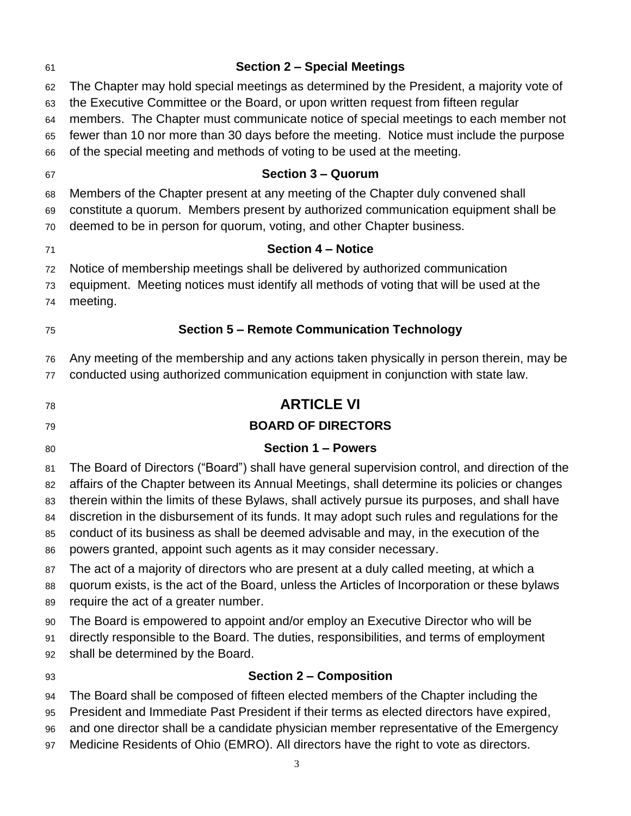| 61       | <b>Section 2 - Special Meetings</b>                                                                                                                                |
|----------|--------------------------------------------------------------------------------------------------------------------------------------------------------------------|
| 62       | The Chapter may hold special meetings as determined by the President, a majority vote of                                                                           |
| 63       | the Executive Committee or the Board, or upon written request from fifteen regular                                                                                 |
| 64       | members. The Chapter must communicate notice of special meetings to each member not                                                                                |
| 65<br>66 | fewer than 10 nor more than 30 days before the meeting. Notice must include the purpose<br>of the special meeting and methods of voting to be used at the meeting. |
| 67       | <b>Section 3 - Quorum</b>                                                                                                                                          |
| 68       | Members of the Chapter present at any meeting of the Chapter duly convened shall                                                                                   |
| 69       | constitute a quorum. Members present by authorized communication equipment shall be                                                                                |
| 70       | deemed to be in person for quorum, voting, and other Chapter business.                                                                                             |
| 71       | <b>Section 4 - Notice</b>                                                                                                                                          |
| 72       | Notice of membership meetings shall be delivered by authorized communication                                                                                       |
| 73       | equipment. Meeting notices must identify all methods of voting that will be used at the                                                                            |
| 74       | meeting.                                                                                                                                                           |
| 75       | <b>Section 5 - Remote Communication Technology</b>                                                                                                                 |
| 76       | Any meeting of the membership and any actions taken physically in person therein, may be                                                                           |
| 77       | conducted using authorized communication equipment in conjunction with state law.                                                                                  |
| 78       | <b>ARTICLE VI</b>                                                                                                                                                  |
| 79       | <b>BOARD OF DIRECTORS</b>                                                                                                                                          |
| 80       | <b>Section 1 - Powers</b>                                                                                                                                          |
| 81       | The Board of Directors ("Board") shall have general supervision control, and direction of the                                                                      |
| 82       | affairs of the Chapter between its Annual Meetings, shall determine its policies or changes                                                                        |
| 83       | therein within the limits of these Bylaws, shall actively pursue its purposes, and shall have                                                                      |
| 84       | discretion in the disbursement of its funds. It may adopt such rules and regulations for the                                                                       |
| 85       | conduct of its business as shall be deemed advisable and may, in the execution of the<br>powers granted, appoint such agents as it may consider necessary.         |
| 86       | The act of a majority of directors who are present at a duly called meeting, at which a                                                                            |
| 87<br>88 | quorum exists, is the act of the Board, unless the Articles of Incorporation or these bylaws                                                                       |
| 89       | require the act of a greater number.                                                                                                                               |
| 90       | The Board is empowered to appoint and/or employ an Executive Director who will be                                                                                  |
| 91       | directly responsible to the Board. The duties, responsibilities, and terms of employment                                                                           |
| 92       | shall be determined by the Board.                                                                                                                                  |
| 93       | <b>Section 2 - Composition</b>                                                                                                                                     |
| 94       | The Board shall be composed of fifteen elected members of the Chapter including the                                                                                |
| 95       | President and Immediate Past President if their terms as elected directors have expired,                                                                           |
| 96       | and one director shall be a candidate physician member representative of the Emergency                                                                             |

Medicine Residents of Ohio (EMRO). All directors have the right to vote as directors.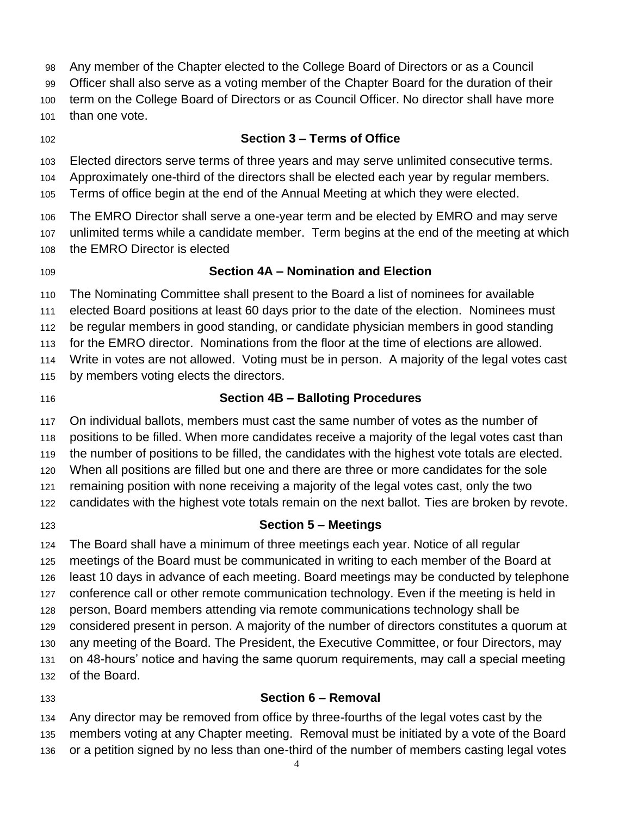- Any member of the Chapter elected to the College Board of Directors or as a Council
- Officer shall also serve as a voting member of the Chapter Board for the duration of their
- term on the College Board of Directors or as Council Officer. No director shall have more
- than one vote.
- 

# **Section 3 – Terms of Office**

- Elected directors serve terms of three years and may serve unlimited consecutive terms.
- Approximately one-third of the directors shall be elected each year by regular members.
- Terms of office begin at the end of the Annual Meeting at which they were elected.
- The EMRO Director shall serve a one-year term and be elected by EMRO and may serve
- unlimited terms while a candidate member. Term begins at the end of the meeting at which
- the EMRO Director is elected
- 

# **Section 4A – Nomination and Election**

The Nominating Committee shall present to the Board a list of nominees for available

elected Board positions at least 60 days prior to the date of the election. Nominees must

- be regular members in good standing, or candidate physician members in good standing
- for the EMRO director. Nominations from the floor at the time of elections are allowed.

Write in votes are not allowed. Voting must be in person. A majority of the legal votes cast

- by members voting elects the directors.
- 

# **Section 4B – Balloting Procedures**

On individual ballots, members must cast the same number of votes as the number of

positions to be filled. When more candidates receive a majority of the legal votes cast than

the number of positions to be filled, the candidates with the highest vote totals are elected.

When all positions are filled but one and there are three or more candidates for the sole

remaining position with none receiving a majority of the legal votes cast, only the two

- candidates with the highest vote totals remain on the next ballot. Ties are broken by revote.
- 

# **Section 5 – Meetings**

The Board shall have a minimum of three meetings each year. Notice of all regular

meetings of the Board must be communicated in writing to each member of the Board at

least 10 days in advance of each meeting. Board meetings may be conducted by telephone

- conference call or other remote communication technology. Even if the meeting is held in person, Board members attending via remote communications technology shall be
- considered present in person. A majority of the number of directors constitutes a quorum at
- any meeting of the Board. The President, the Executive Committee, or four Directors, may
- on 48-hours' notice and having the same quorum requirements, may call a special meeting
- of the Board.
- 

# **Section 6 – Removal**

 Any director may be removed from office by three-fourths of the legal votes cast by the members voting at any Chapter meeting. Removal must be initiated by a vote of the Board

or a petition signed by no less than one-third of the number of members casting legal votes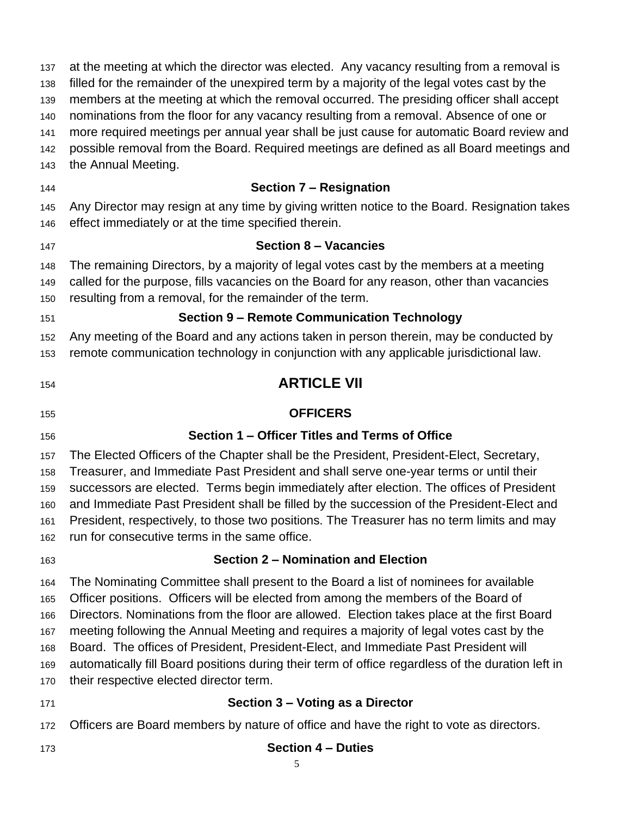at the meeting at which the director was elected. Any vacancy resulting from a removal is filled for the remainder of the unexpired term by a majority of the legal votes cast by the members at the meeting at which the removal occurred. The presiding officer shall accept nominations from the floor for any vacancy resulting from a removal. Absence of one or more required meetings per annual year shall be just cause for automatic Board review and possible removal from the Board. Required meetings are defined as all Board meetings and the Annual Meeting. **Section 7 – Resignation** Any Director may resign at any time by giving written notice to the Board. Resignation takes effect immediately or at the time specified therein. **Section 8 – Vacancies** The remaining Directors, by a majority of legal votes cast by the members at a meeting called for the purpose, fills vacancies on the Board for any reason, other than vacancies resulting from a removal, for the remainder of the term. **Section 9 – Remote Communication Technology** Any meeting of the Board and any actions taken in person therein, may be conducted by remote communication technology in conjunction with any applicable jurisdictional law. **ARTICLE VII OFFICERS Section 1 – Officer Titles and Terms of Office**  The Elected Officers of the Chapter shall be the President, President-Elect, Secretary, Treasurer, and Immediate Past President and shall serve one-year terms or until their successors are elected. Terms begin immediately after election. The offices of President and Immediate Past President shall be filled by the succession of the President-Elect and President, respectively, to those two positions. The Treasurer has no term limits and may run for consecutive terms in the same office. **Section 2 – Nomination and Election** The Nominating Committee shall present to the Board a list of nominees for available Officer positions. Officers will be elected from among the members of the Board of Directors. Nominations from the floor are allowed. Election takes place at the first Board meeting following the Annual Meeting and requires a majority of legal votes cast by the Board. The offices of President, President-Elect, and Immediate Past President will automatically fill Board positions during their term of office regardless of the duration left in their respective elected director term. **Section 3 – Voting as a Director** Officers are Board members by nature of office and have the right to vote as directors. **Section 4 – Duties**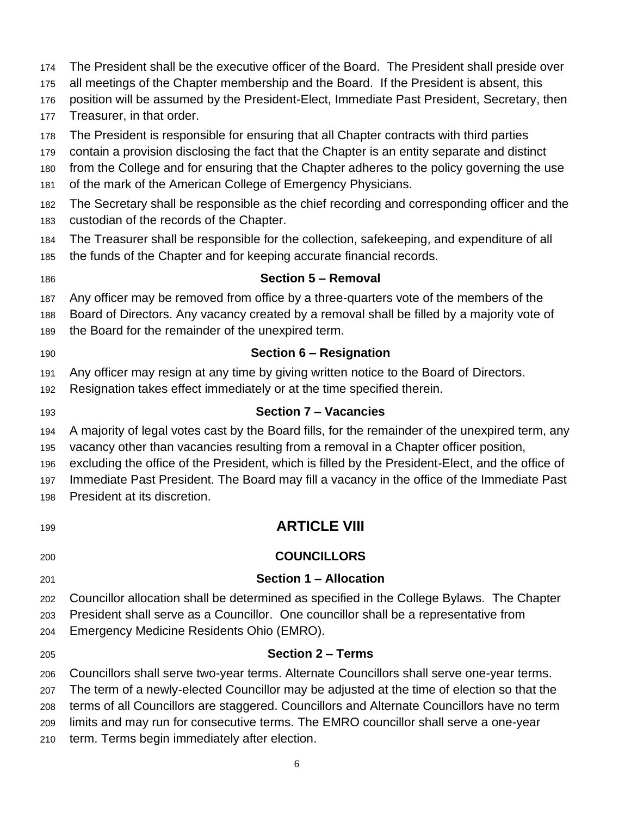- The President shall be the executive officer of the Board. The President shall preside over
- all meetings of the Chapter membership and the Board. If the President is absent, this
- position will be assumed by the President-Elect, Immediate Past President, Secretary, then
- Treasurer, in that order.
- The President is responsible for ensuring that all Chapter contracts with third parties
- contain a provision disclosing the fact that the Chapter is an entity separate and distinct
- from the College and for ensuring that the Chapter adheres to the policy governing the use
- of the mark of the American College of Emergency Physicians.
- The Secretary shall be responsible as the chief recording and corresponding officer and the custodian of the records of the Chapter.
- The Treasurer shall be responsible for the collection, safekeeping, and expenditure of all
- the funds of the Chapter and for keeping accurate financial records.
- 

# **Section 5 – Removal**

- Any officer may be removed from office by a three-quarters vote of the members of the
- Board of Directors. Any vacancy created by a removal shall be filled by a majority vote of
- the Board for the remainder of the unexpired term.
- 

# **Section 6 – Resignation**

- Any officer may resign at any time by giving written notice to the Board of Directors.
- Resignation takes effect immediately or at the time specified therein.
- 

#### **Section 7 – Vacancies**

- A majority of legal votes cast by the Board fills, for the remainder of the unexpired term, any vacancy other than vacancies resulting from a removal in a Chapter officer position,
- excluding the office of the President, which is filled by the President-Elect, and the office of
- Immediate Past President. The Board may fill a vacancy in the office of the Immediate Past
- President at its discretion.
- **ARTICLE VIII**

# **COUNCILLORS**

**Section 1 – Allocation**

# Councillor allocation shall be determined as specified in the College Bylaws. The Chapter President shall serve as a Councillor. One councillor shall be a representative from

- Emergency Medicine Residents Ohio (EMRO).
- 

# **Section 2 – Terms**

Councillors shall serve two-year terms. Alternate Councillors shall serve one-year terms.

The term of a newly-elected Councillor may be adjusted at the time of election so that the

- terms of all Councillors are staggered. Councillors and Alternate Councillors have no term
- limits and may run for consecutive terms. The EMRO councillor shall serve a one-year
- term. Terms begin immediately after election.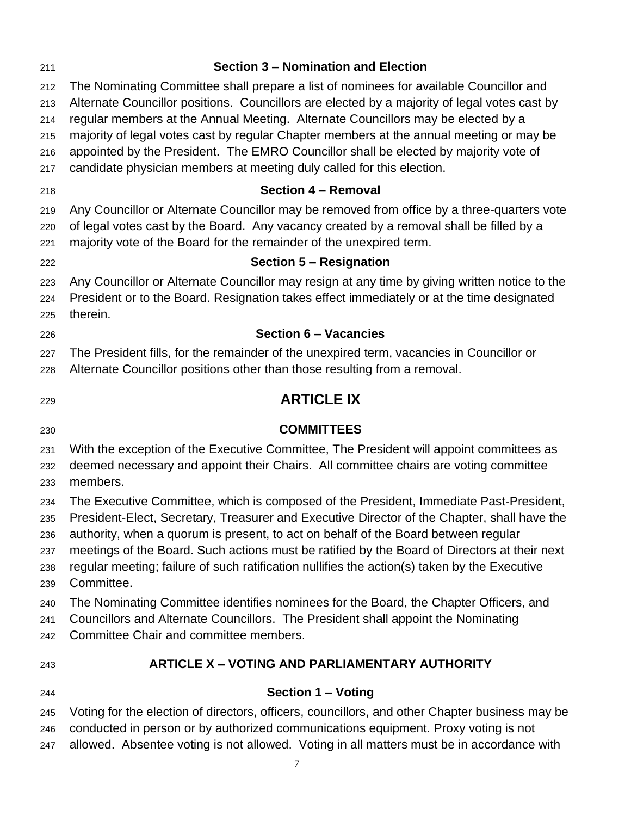| 211                                    | <b>Section 3 - Nomination and Election</b>                                                                                                                                                                                                                                                                                                                                                                                                                                                |
|----------------------------------------|-------------------------------------------------------------------------------------------------------------------------------------------------------------------------------------------------------------------------------------------------------------------------------------------------------------------------------------------------------------------------------------------------------------------------------------------------------------------------------------------|
| 212<br>213<br>214<br>215               | The Nominating Committee shall prepare a list of nominees for available Councillor and<br>Alternate Councillor positions. Councillors are elected by a majority of legal votes cast by<br>regular members at the Annual Meeting. Alternate Councillors may be elected by a<br>majority of legal votes cast by regular Chapter members at the annual meeting or may be                                                                                                                     |
| 216<br>217                             | appointed by the President. The EMRO Councillor shall be elected by majority vote of<br>candidate physician members at meeting duly called for this election.                                                                                                                                                                                                                                                                                                                             |
| 218                                    | <b>Section 4 - Removal</b>                                                                                                                                                                                                                                                                                                                                                                                                                                                                |
| 219<br>220<br>221                      | Any Councillor or Alternate Councillor may be removed from office by a three-quarters vote<br>of legal votes cast by the Board. Any vacancy created by a removal shall be filled by a<br>majority vote of the Board for the remainder of the unexpired term.                                                                                                                                                                                                                              |
| 222                                    | Section 5 - Resignation                                                                                                                                                                                                                                                                                                                                                                                                                                                                   |
| 223<br>224<br>225                      | Any Councillor or Alternate Councillor may resign at any time by giving written notice to the<br>President or to the Board. Resignation takes effect immediately or at the time designated<br>therein.                                                                                                                                                                                                                                                                                    |
| 226                                    | <b>Section 6 - Vacancies</b>                                                                                                                                                                                                                                                                                                                                                                                                                                                              |
| 227<br>228                             | The President fills, for the remainder of the unexpired term, vacancies in Councillor or<br>Alternate Councillor positions other than those resulting from a removal.                                                                                                                                                                                                                                                                                                                     |
| 229                                    | <b>ARTICLE IX</b>                                                                                                                                                                                                                                                                                                                                                                                                                                                                         |
| 230                                    | <b>COMMITTEES</b>                                                                                                                                                                                                                                                                                                                                                                                                                                                                         |
| 231<br>232<br>233                      | With the exception of the Executive Committee, The President will appoint committees as<br>deemed necessary and appoint their Chairs. All committee chairs are voting committee<br>members.                                                                                                                                                                                                                                                                                               |
| 234<br>235<br>236<br>237<br>238<br>239 | The Executive Committee, which is composed of the President, Immediate Past-President,<br>President-Elect, Secretary, Treasurer and Executive Director of the Chapter, shall have the<br>authority, when a quorum is present, to act on behalf of the Board between regular<br>meetings of the Board. Such actions must be ratified by the Board of Directors at their next<br>regular meeting; failure of such ratification nullifies the action(s) taken by the Executive<br>Committee. |
| 240<br>241<br>242                      | The Nominating Committee identifies nominees for the Board, the Chapter Officers, and<br>Councillors and Alternate Councillors. The President shall appoint the Nominating<br>Committee Chair and committee members.                                                                                                                                                                                                                                                                      |
| 243                                    | <b>ARTICLE X - VOTING AND PARLIAMENTARY AUTHORITY</b>                                                                                                                                                                                                                                                                                                                                                                                                                                     |
| 244                                    | <b>Section 1 - Voting</b>                                                                                                                                                                                                                                                                                                                                                                                                                                                                 |
| 245                                    | Voting for the election of directors, officers, councillors, and other Chapter business may be                                                                                                                                                                                                                                                                                                                                                                                            |

 conducted in person or by authorized communications equipment. Proxy voting is not allowed. Absentee voting is not allowed. Voting in all matters must be in accordance with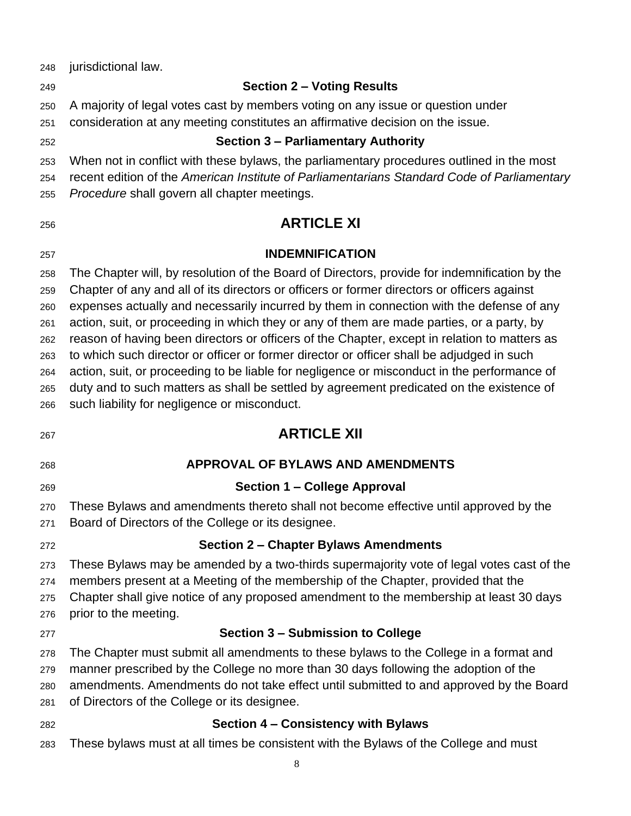jurisdictional law. **Section 2 – Voting Results** A majority of legal votes cast by members voting on any issue or question under consideration at any meeting constitutes an affirmative decision on the issue. **Section 3 – Parliamentary Authority** When not in conflict with these bylaws, the parliamentary procedures outlined in the most recent edition of the *American Institute of Parliamentarians Standard Code of Parliamentary Procedure* shall govern all chapter meetings. **ARTICLE XI INDEMNIFICATION** The Chapter will, by resolution of the Board of Directors, provide for indemnification by the Chapter of any and all of its directors or officers or former directors or officers against expenses actually and necessarily incurred by them in connection with the defense of any action, suit, or proceeding in which they or any of them are made parties, or a party, by reason of having been directors or officers of the Chapter, except in relation to matters as to which such director or officer or former director or officer shall be adjudged in such action, suit, or proceeding to be liable for negligence or misconduct in the performance of duty and to such matters as shall be settled by agreement predicated on the existence of such liability for negligence or misconduct. **ARTICLE XII APPROVAL OF BYLAWS AND AMENDMENTS Section 1 – College Approval** These Bylaws and amendments thereto shall not become effective until approved by the Board of Directors of the College or its designee. **Section 2 – Chapter Bylaws Amendments** These Bylaws may be amended by a two-thirds supermajority vote of legal votes cast of the members present at a Meeting of the membership of the Chapter, provided that the Chapter shall give notice of any proposed amendment to the membership at least 30 days prior to the meeting. **Section 3 – Submission to College** The Chapter must submit all amendments to these bylaws to the College in a format and manner prescribed by the College no more than 30 days following the adoption of the amendments. Amendments do not take effect until submitted to and approved by the Board of Directors of the College or its designee. **Section 4 – Consistency with Bylaws** These bylaws must at all times be consistent with the Bylaws of the College and must